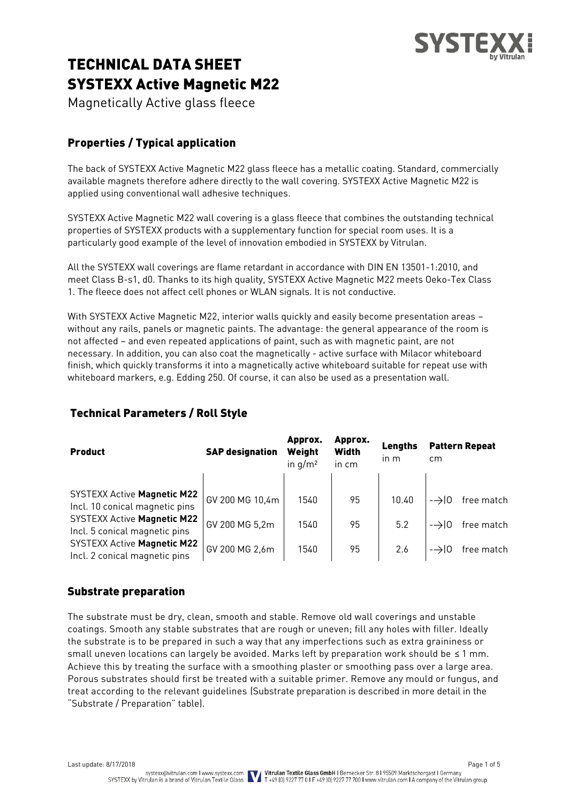

# TECHNICAL DATA SHEET SYSTEXX Active Magnetic M22

Magnetically Active glass fleece

# Properties / Typical application

The back of SYSTEXX Active Magnetic M22 glass fleece has a metallic coating. Standard, commercially available magnets therefore adhere directly to the wall covering. SYSTEXX Active Magnetic M22 is applied using conventional wall adhesive techniques.

SYSTEXX Active Magnetic M22 wall covering is a glass fleece that combines the outstanding technical properties of SYSTEXX products with a supplementary function for special room uses. It is a particularly good example of the level of innovation embodied in SYSTEXX by Vitrulan.

All the SYSTEXX wall coverings are flame retardant in accordance with DIN EN 13501-1:2010, and meet Class B-s1, d0. Thanks to its high quality, SYSTEXX Active Magnetic M22 meets Oeko-Tex Class 1. The fleece does not affect cell phones or WLAN signals. It is not conductive.

With SYSTEXX Active Magnetic M22, interior walls quickly and easily become presentation areas – without any rails, panels or magnetic paints. The advantage: the general appearance of the room is not affected – and even repeated applications of paint, such as with magnetic paint, are not necessary. In addition, you can also coat the magnetically - active surface with Milacor whiteboard finish, which quickly transforms it into a magnetically active whiteboard suitable for repeat use with whiteboard markers, e.g. Edding 250. Of course, it can also be used as a presentation wall.

| <b>Product</b>                                                       | <b>SAP designation</b> | Approx.<br>Weight<br>in $q/m^2$ | Approx.<br>Width<br>in cm | Lengths<br>in m | cm               | <b>Pattern Repeat</b> |
|----------------------------------------------------------------------|------------------------|---------------------------------|---------------------------|-----------------|------------------|-----------------------|
| <b>SYSTEXX Active Magnetic M22</b><br>Incl. 10 conical magnetic pins | GV 200 MG 10,4m        | 1540                            | 95                        | 10.40           | $\rightarrow 10$ | free match            |
| <b>SYSTEXX Active Magnetic M22</b><br>Incl. 5 conical magnetic pins  | GV 200 MG 5,2m         | 1540                            | 95                        | 5.2             | $\rightarrow 10$ | free match            |
| <b>SYSTEXX Active Magnetic M22</b><br>Incl. 2 conical magnetic pins  | GV 200 MG 2,6m         | 1540                            | 95                        | 2.6             | $\rightarrow 10$ | free match            |

# Technical Parameters / Roll Style

### Substrate preparation

The substrate must be dry, clean, smooth and stable. Remove old wall coverings and unstable coatings. Smooth any stable substrates that are rough or uneven; fill any holes with filler. Ideally the substrate is to be prepared in such a way that any imperfections such as extra graininess or small uneven locations can largely be avoided. Marks left by preparation work should be ≤ 1 mm. Achieve this by treating the surface with a smoothing plaster or smoothing pass over a large area. Porous substrates should first be treated with a suitable primer. Remove any mould or fungus, and treat according to the relevant guidelines (Substrate preparation is described in more detail in the "Substrate / Preparation" table).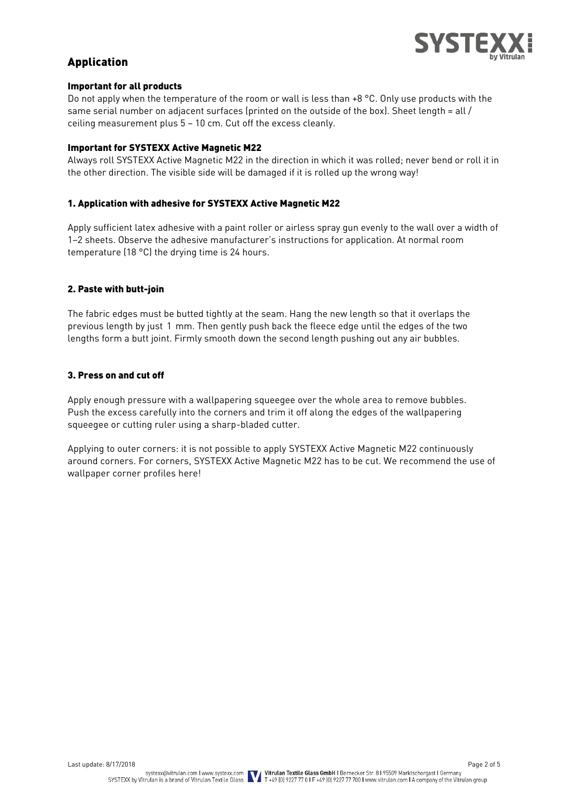

## Application

#### Important for all products

Do not apply when the temperature of the room or wall is less than +8 °C. Only use products with the same serial number on adjacent surfaces (printed on the outside of the box). Sheet length = all  $/$ ceiling measurement plus 5 – 10 cm. Cut off the excess cleanly.

#### Important for SYSTEXX Active Magnetic M22

Always roll SYSTEXX Active Magnetic M22 in the direction in which it was rolled; never bend or roll it in the other direction. The visible side will be damaged if it is rolled up the wrong way!

#### 1. Application with adhesive for SYSTEXX Active Magnetic M22

Apply sufficient latex adhesive with a paint roller or airless spray gun evenly to the wall over a width of 1–2 sheets. Observe the adhesive manufacturer's instructions for application. At normal room temperature (18 °C) the drying time is 24 hours.

#### 2. Paste with butt-join

The fabric edges must be butted tightly at the seam. Hang the new length so that it overlaps the previous length by just 1 mm. Then gently push back the fleece edge until the edges of the two lengths form a butt joint. Firmly smooth down the second length pushing out any air bubbles.

#### 3. Press on and cut off

Apply enough pressure with a wallpapering squeegee over the whole area to remove bubbles. Push the excess carefully into the corners and trim it off along the edges of the wallpapering squeegee or cutting ruler using a sharp-bladed cutter.

Applying to outer corners: it is not possible to apply SYSTEXX Active Magnetic M22 continuously around corners. For corners, SYSTEXX Active Magnetic M22 has to be cut. We recommend the use of wallpaper corner profiles here!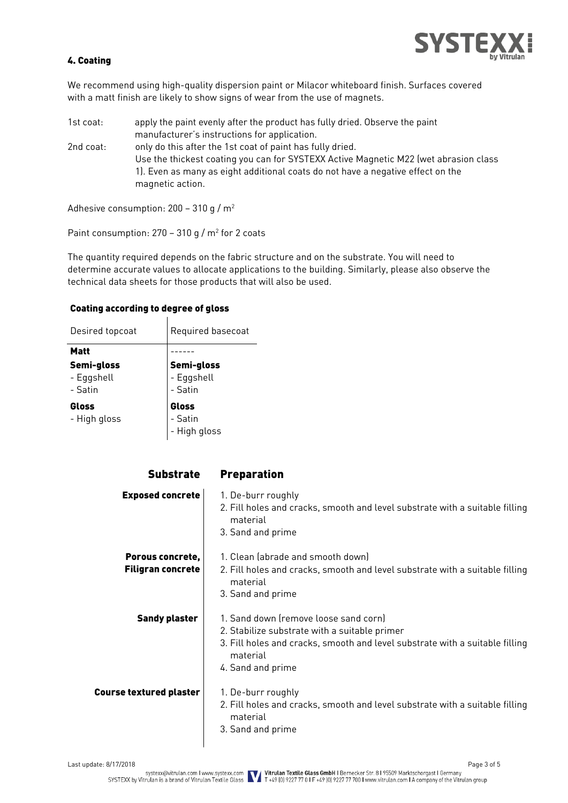

#### 4. Coating

We recommend using high-quality dispersion paint or Milacor whiteboard finish. Surfaces covered with a matt finish are likely to show signs of wear from the use of magnets.

1st coat: apply the paint evenly after the product has fully dried. Observe the paint manufacturer's instructions for application. 2nd coat: only do this after the 1st coat of paint has fully dried. Use the thickest coating you can for SYSTEXX Active Magnetic M22 (wet abrasion class 1). Even as many as eight additional coats do not have a negative effect on the magnetic action.

Adhesive consumption: 200 – 310 g / m<sup>2</sup>

Paint consumption:  $270 - 310$  g / m<sup>2</sup> for 2 coats

The quantity required depends on the fabric structure and on the substrate. You will need to determine accurate values to allocate applications to the building. Similarly, please also observe the technical data sheets for those products that will also be used.

#### Coating according to degree of gloss

| Desired topcoat                     | Required basecoat                          |  |  |
|-------------------------------------|--------------------------------------------|--|--|
| Matt                                |                                            |  |  |
| Semi-gloss<br>- Eggshell<br>- Satin | <b>Semi-gloss</b><br>- Eggshell<br>- Satin |  |  |
| Gloss<br>- High gloss               | <b>Gloss</b><br>- Satin<br>- High gloss    |  |  |

| <b>Substrate</b>                             | <b>Preparation</b>                                                                                                                                                                                      |
|----------------------------------------------|---------------------------------------------------------------------------------------------------------------------------------------------------------------------------------------------------------|
| <b>Exposed concrete</b>                      | 1. De-burr roughly<br>2. Fill holes and cracks, smooth and level substrate with a suitable filling<br>material<br>3. Sand and prime                                                                     |
| Porous concrete,<br><b>Filigran concrete</b> | 1. Clean (abrade and smooth down)<br>2. Fill holes and cracks, smooth and level substrate with a suitable filling<br>material<br>3. Sand and prime                                                      |
| <b>Sandy plaster</b>                         | 1. Sand down (remove loose sand corn)<br>2. Stabilize substrate with a suitable primer<br>3. Fill holes and cracks, smooth and level substrate with a suitable filling<br>material<br>4. Sand and prime |
| <b>Course textured plaster</b>               | 1. De-burr roughly<br>2. Fill holes and cracks, smooth and level substrate with a suitable filling<br>material<br>3. Sand and prime                                                                     |

 $\overline{\phantom{a}}$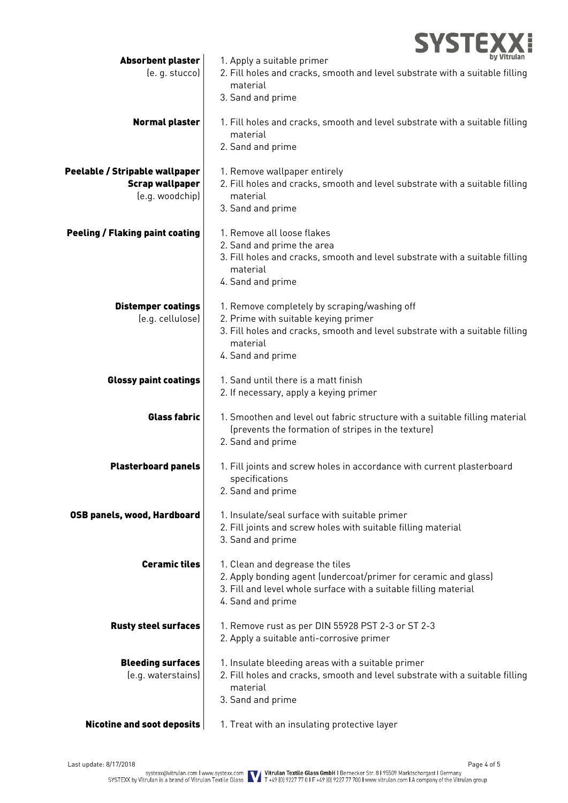|                                                                             | <b>SYSTEX</b>                                                                                                                                                                                         |
|-----------------------------------------------------------------------------|-------------------------------------------------------------------------------------------------------------------------------------------------------------------------------------------------------|
| <b>Absorbent plaster</b><br>(e. g. stucco)                                  | 1. Apply a suitable primer<br>2. Fill holes and cracks, smooth and level substrate with a suitable filling<br>material<br>3. Sand and prime                                                           |
| <b>Normal plaster</b>                                                       | 1. Fill holes and cracks, smooth and level substrate with a suitable filling<br>material<br>2. Sand and prime                                                                                         |
| Peelable / Stripable wallpaper<br><b>Scrap wallpaper</b><br>(e.g. woodchip) | 1. Remove wallpaper entirely<br>2. Fill holes and cracks, smooth and level substrate with a suitable filling<br>material<br>3. Sand and prime                                                         |
| <b>Peeling / Flaking paint coating</b>                                      | 1. Remove all loose flakes<br>2. Sand and prime the area<br>3. Fill holes and cracks, smooth and level substrate with a suitable filling<br>material<br>4. Sand and prime                             |
| <b>Distemper coatings</b><br>(e.g. cellulose)                               | 1. Remove completely by scraping/washing off<br>2. Prime with suitable keying primer<br>3. Fill holes and cracks, smooth and level substrate with a suitable filling<br>material<br>4. Sand and prime |
| <b>Glossy paint coatings</b>                                                | 1. Sand until there is a matt finish<br>2. If necessary, apply a keying primer                                                                                                                        |
| <b>Glass fabric</b>                                                         | 1. Smoothen and level out fabric structure with a suitable filling material<br>(prevents the formation of stripes in the texture)<br>2. Sand and prime                                                |
| <b>Plasterboard panels</b>                                                  | 1. Fill joints and screw holes in accordance with current plasterboard<br>specifications<br>2. Sand and prime                                                                                         |
| OSB panels, wood, Hardboard                                                 | 1. Insulate/seal surface with suitable primer<br>2. Fill joints and screw holes with suitable filling material<br>3. Sand and prime                                                                   |
| <b>Ceramic tiles</b>                                                        | 1. Clean and degrease the tiles<br>2. Apply bonding agent (undercoat/primer for ceramic and glass)<br>3. Fill and level whole surface with a suitable filling material<br>4. Sand and prime           |
| <b>Rusty steel surfaces</b>                                                 | 1. Remove rust as per DIN 55928 PST 2-3 or ST 2-3<br>2. Apply a suitable anti-corrosive primer                                                                                                        |
| <b>Bleeding surfaces</b><br>(e.g. waterstains)                              | 1. Insulate bleeding areas with a suitable primer<br>2. Fill holes and cracks, smooth and level substrate with a suitable filling<br>material<br>3. Sand and prime                                    |
| <b>Nicotine and soot deposits</b>                                           | 1. Treat with an insulating protective layer                                                                                                                                                          |